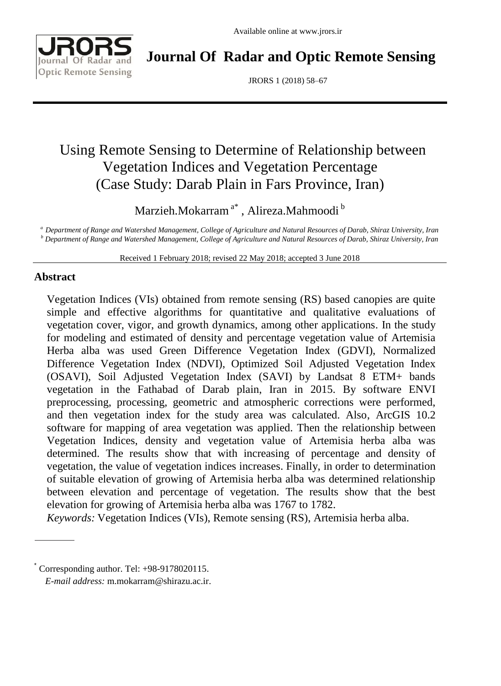

**Journal Of Radar and Optic Remote Sensing**

JRORS 1 (2018) 58–67

# Using Remote Sensing to Determine of Relationship between Vegetation Indices and Vegetation Percentage (Case Study: Darab Plain in Fars Province, Iran)

Marzieh.Mokarram<sup>a\*</sup> , Alireza.Mahmoodi <sup>b</sup>

*<sup>a</sup> Department of Range and Watershed Management, College of Agriculture and Natural Resources of Darab, Shiraz University, Iran <sup>b</sup> Department of Range and Watershed Management, College of Agriculture and Natural Resources of Darab, Shiraz University, Iran*

Received 1 February 2018; revised 22 May 2018; accepted 3 June 2018

# **Abstract**

Vegetation Indices (VIs) obtained from remote sensing (RS) based canopies are quite simple and effective algorithms for quantitative and qualitative evaluations of vegetation cover, vigor, and growth dynamics, among other applications. In the study for modeling and estimated of density and percentage vegetation value of Artemisia Herba alba was used Green Difference Vegetation Index (GDVI), Normalized Difference Vegetation Index (NDVI), Optimized Soil Adjusted Vegetation Index (OSAVI), Soil Adjusted Vegetation Index (SAVI) by Landsat 8 ETM+ bands vegetation in the Fathabad of Darab plain, Iran in 2015. By software ENVI preprocessing, processing, geometric and atmospheric corrections were performed, and then vegetation index for the study area was calculated. Also, ArcGIS 10.2 software for mapping of area vegetation was applied. Then the relationship between Vegetation Indices, density and vegetation value of Artemisia herba alba was determined. The results show that with increasing of percentage and density of vegetation, the value of vegetation indices increases. Finally, in order to determination of suitable elevation of growing of Artemisia herba alba was determined relationship between elevation and percentage of vegetation. The results show that the best elevation for growing of Artemisia herba alba was 1767 to 1782.

*Keywords:* Vegetation Indices (VIs), Remote sensing (RS), Artemisia herba alba.

<sup>\*</sup> Corresponding author. Tel: +98-9178020115.

*E-mail address:* [m.mokarram@shirazu.ac.ir.](mailto:m.mokarram@shirazu.ac.ir)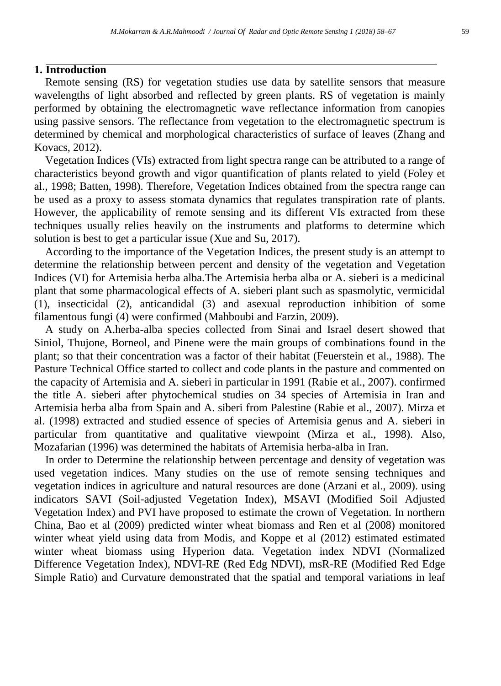## **1. Introduction**

Remote sensing (RS) for vegetation studies use data by satellite sensors that measure wavelengths of light absorbed and reflected by green plants. RS of vegetation is mainly performed by obtaining the electromagnetic wave reflectance information from canopies using passive sensors. The reflectance from vegetation to the electromagnetic spectrum is determined by chemical and morphological characteristics of surface of leaves (Zhang and Kovacs, 2012).

Vegetation Indices (VIs) extracted from light spectra range can be attributed to a range of characteristics beyond growth and vigor quantification of plants related to yield (Foley et al., 1998; Batten, 1998). Therefore, Vegetation Indices obtained from the spectra range can be used as a proxy to assess stomata dynamics that regulates transpiration rate of plants. However, the applicability of remote sensing and its different VIs extracted from these techniques usually relies heavily on the instruments and platforms to determine which solution is best to get a particular issue [\(Xue](https://www.hindawi.com/68243190/) and [Su,](https://www.hindawi.com/38730909/) 2017).

According to the importance of the Vegetation Indices, the present study is an attempt to determine the relationship between percent and density of the vegetation and Vegetation Indices (VI) for Artemisia herba alba.The Artemisia herba alba or A. sieberi is a medicinal plant that some pharmacological effects of A. sieberi plant such as spasmolytic, vermicidal (1), insecticidal (2), anticandidal (3) and asexual reproduction inhibition of some filamentous fungi (4) were confirmed (Mahboubi and Farzin, 2009).

A study on A.herba-alba species collected from Sinai and Israel desert showed that Siniol, Thujone, Borneol, and Pinene were the main groups of combinations found in the plant; so that their concentration was a factor of their habitat (Feuerstein et al., 1988). The Pasture Technical Office started to collect and code plants in the pasture and commented on the capacity of Artemisia and A. sieberi in particular in 1991 (Rabie et al., 2007). confirmed the title A. sieberi after phytochemical studies on 34 species of Artemisia in Iran and Artemisia herba alba from Spain and A. siberi from Palestine (Rabie et al., 2007). Mirza et al. (1998) extracted and studied essence of species of Artemisia genus and A. sieberi in particular from quantitative and qualitative viewpoint (Mirza et al., 1998). Also, Mozafarian (1996) was determined the habitats of Artemisia herba-alba in Iran.

In order to Determine the relationship between percentage and density of vegetation was used vegetation indices. Many studies on the use of remote sensing techniques and vegetation indices in agriculture and natural resources are done (Arzani et al., 2009). using indicators SAVI (Soil-adjusted Vegetation Index), MSAVI (Modified Soil Adjusted Vegetation Index) and PVI have proposed to estimate the crown of Vegetation. In northern China, Bao et al (2009) predicted winter wheat biomass and Ren et al (2008) monitored winter wheat yield using data from Modis, and Koppe et al (2012) estimated estimated winter wheat biomass using Hyperion data. Vegetation index NDVI (Normalized Difference Vegetation Index), NDVI-RE (Red Edg NDVI), msR-RE (Modified Red Edge Simple Ratio) and Curvature demonstrated that the spatial and temporal variations in leaf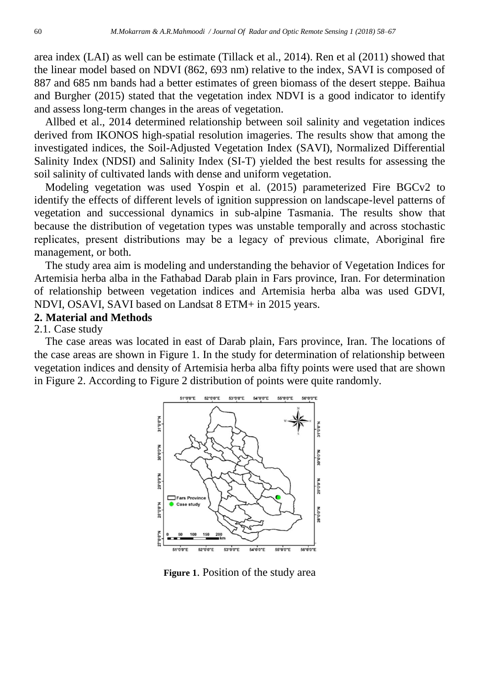area index (LAI) as well can be estimate (Tillack et al., 2014). Ren et al (2011) showed that the linear model based on NDVI (862, 693 nm) relative to the index, SAVI is composed of 887 and 685 nm bands had a better estimates of green biomass of the desert steppe. Baihua and Burgher (2015) stated that the vegetation index NDVI is a good indicator to identify and assess long-term changes in the areas of vegetation.

[Allbed](http://www.sciencedirect.com/science/article/pii/S0016706114001372) et al., 2014 determined relationship between soil salinity and vegetation indices derived from IKONOS high-spatial resolution imageries. The results show that among the investigated indices, the Soil-Adjusted Vegetation Index (SAVI), Normalized Differential Salinity Index (NDSI) and Salinity Index (SI-T) yielded the best results for assessing the soil salinity of cultivated lands with dense and uniform vegetation.

Modeling vegetation was used Yospin et al. (2015) parameterized Fire BGCv2 to identify the effects of different levels of ignition suppression on landscape-level patterns of vegetation and successional dynamics in sub-alpine Tasmania. The results show that because the distribution of vegetation types was unstable temporally and across stochastic replicates, present distributions may be a legacy of previous climate, Aboriginal fire management, or both.

The study area aim is modeling and understanding the behavior of Vegetation Indices for Artemisia herba alba in the Fathabad Darab plain in Fars province, Iran. For determination of relationship between vegetation indices and Artemisia herba alba was used GDVI, NDVI, OSAVI, SAVI based on Landsat 8 ETM+ in 2015 years.

#### **2. Material and Methods**

#### 2.1. Case study

The case areas was located in east of Darab plain, Fars province, Iran. The locations of the case areas are shown in Figure 1. In the study for determination of relationship between vegetation indices and density of Artemisia herba alba fifty points were used that are shown in Figure 2. According to Figure 2 distribution of points were quite randomly.



**Figure 1**. Position of the study area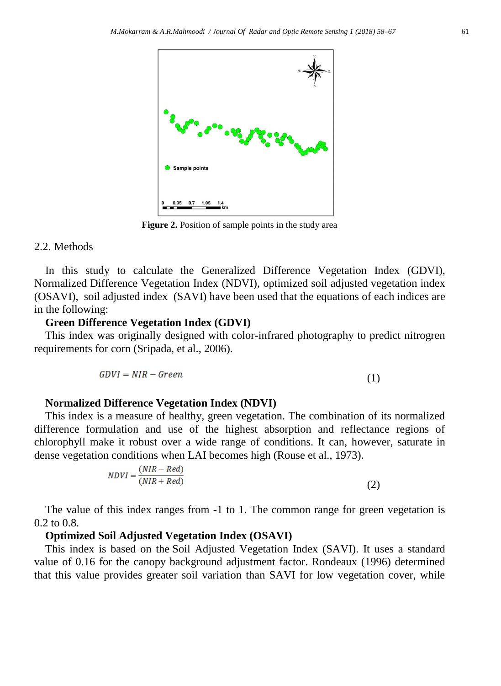

**Figure 2.** Position of sample points in the study area

#### 2.2. Methods

In this study to calculate the [Generalized Difference Vegetation Index](https://www.google.com/url?sa=t&rct=j&q=&esrc=s&source=web&cd=1&ved=0ahUKEwjWpavut4TaAhWjA5oKHaZkAKMQFggmMAA&url=http%3A%2F%2Fwww.mdpi.com%2F2072-4292%2F6%2F2%2F1211%2Fpdf&usg=AOvVaw1GmN0qqFY_IpQigsxydq3K) (GDVI), [Normalized Difference Vegetation Index \(NDVI\),](https://earthobservatory.nasa.gov/Features/MeasuringVegetation/measuring_vegetation_2.php) optimized soil adjusted vegetation index (OSAVI), soil adjusted index (SAVI) have been used that the equations of each indices are in the following:

## **Green Difference Vegetation Index (GDVI)**

This index was originally designed with color-infrared photography to predict nitrogren requirements for corn (Sripada, et al., 2006).

$$
GDVI = NIR - Green \tag{1}
$$

## **Normalized Difference Vegetation Index (NDVI)**

This index is a measure of healthy, green vegetation. The combination of its normalized difference formulation and use of the highest absorption and reflectance regions of chlorophyll make it robust over a wide range of conditions. It can, however, saturate in dense vegetation conditions when LAI becomes high (Rouse et al., 1973).

$$
NDVI = \frac{(NIR - Red)}{(NIR + Red)}\tag{2}
$$

The value of this index ranges from -1 to 1. The common range for green vegetation is 0.2 to 0.8.

## **Optimized Soil Adjusted Vegetation Index (OSAVI)**

This index is based on the [Soil Adjusted Vegetation Index \(SAVI\).](http://www.exelisvis.com/docs/BroadbandGreenness.html#Soil) It uses a standard value of 0.16 for the canopy background adjustment factor. Rondeaux (1996) determined that this value provides greater soil variation than SAVI for low vegetation cover, while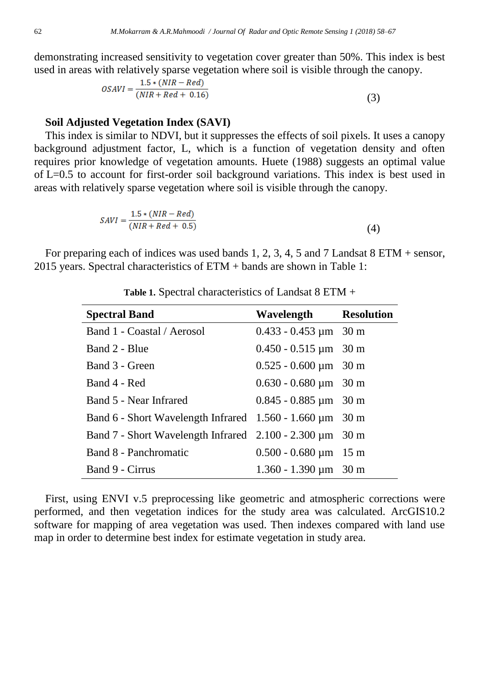demonstrating increased sensitivity to vegetation cover greater than 50%. This index is best used in areas with relatively sparse vegetation where soil is visible through the canopy.

$$
OSAVI = \frac{1.5 * (NIR - Red)}{(NIR + Red + 0.16)}
$$
(3)

#### **Soil Adjusted Vegetation Index (SAVI)**

This index is similar to NDVI, but it suppresses the effects of soil pixels. It uses a canopy background adjustment factor, L, which is a function of vegetation density and often requires prior knowledge of vegetation amounts. Huete (1988) suggests an optimal value of L=0.5 to account for first-order soil background variations. This index is best used in areas with relatively sparse vegetation where soil is visible through the canopy.

$$
SAVI = \frac{1.5 * (NIR - Red)}{(NIR + Red + 0.5)}
$$
\n
$$
\tag{4}
$$

For preparing each of indices was used bands 1, 2, 3, 4, 5 and 7 Landsat 8 ETM + sensor, 2015 years. Spectral characteristics of ETM + bands are shown in Table 1:

| <b>Spectral Band</b>                                            | Wavelength Resolution                   |  |
|-----------------------------------------------------------------|-----------------------------------------|--|
| Band 1 - Coastal / Aerosol                                      | $0.433 - 0.453 \mu m$ 30 m              |  |
| Band 2 - Blue                                                   | $0.450 - 0.515 \,\mathrm{\upmu m}$ 30 m |  |
| Band 3 - Green                                                  | $0.525 - 0.600 \,\mathrm{\upmu m}$ 30 m |  |
| Band 4 - Red                                                    | $0.630 - 0.680 \,\mathrm{\upmu m}$ 30 m |  |
| Band 5 - Near Infrared                                          | $0.845 - 0.885 \,\mathrm{\upmu m}$ 30 m |  |
| Band 6 - Short Wavelength Infrared 1.560 - 1.660 µm 30 m        |                                         |  |
| Band $7$ - Short Wavelength Infrared 2.100 - 2.300 $\mu$ m 30 m |                                         |  |
| Band 8 - Panchromatic                                           | $0.500 - 0.680 \,\mathrm{\upmu m}$ 15 m |  |
| Band 9 - Cirrus                                                 | $1.360 - 1.390 \,\mathrm{\upmu m}$ 30 m |  |

**Table 1.** Spectral characteristics of Landsat 8 ETM +

First, using ENVI v.5 preprocessing like geometric and atmospheric corrections were performed, and then vegetation indices for the study area was calculated. ArcGIS10.2 software for mapping of area vegetation was used. Then indexes compared with land use map in order to determine best index for estimate vegetation in study area.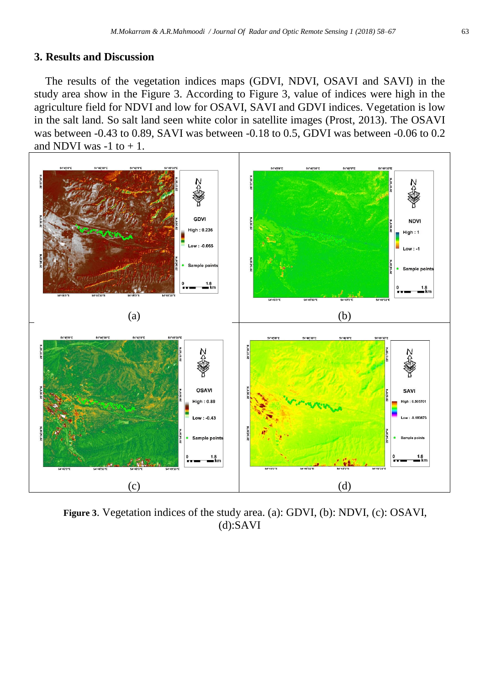## **3. Results and Discussion**

The results of the vegetation indices maps (GDVI, NDVI, OSAVI and SAVI) in the study area show in the Figure 3. According to Figure 3, value of indices were high in the agriculture field for NDVI and low for OSAVI, SAVI and GDVI indices. Vegetation is low in the salt land. So salt land seen white color in satellite images [\(Prost,](https://www.google.com/search?tbo=p&tbm=bks&q=inauthor:%22Gary+L.+Prost%22) 2013). The OSAVI was between -0.43 to 0.89, SAVI was between -0.18 to 0.5, GDVI was between -0.06 to 0.2 and NDVI was  $-1$  to  $+1$ .



**Figure 3**. Vegetation indices of the study area. (a): GDVI, (b): NDVI, (c): OSAVI, (d):SAVI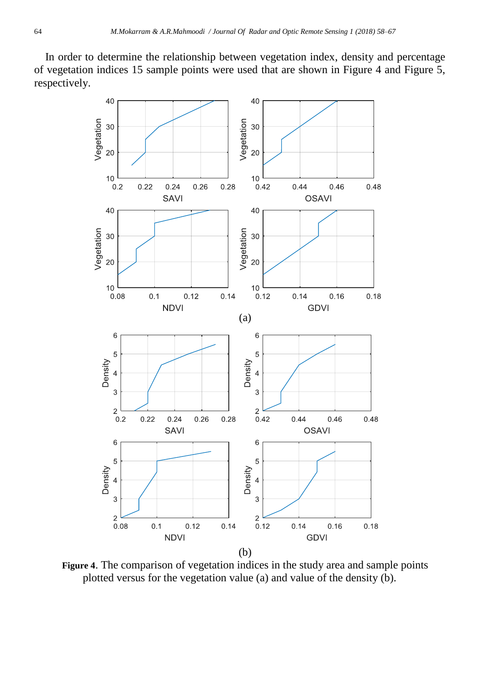In order to determine the relationship between vegetation index, density and percentage of vegetation indices 15 sample points were used that are shown in Figure 4 and Figure 5, respectively.



**Figure 4**. The comparison of vegetation indices in the study area and sample points plotted versus for the vegetation value (a) and value of the density (b).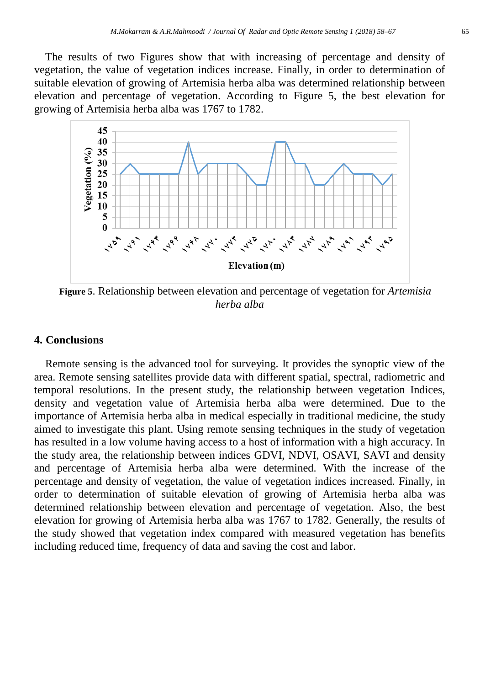The results of two Figures show that with increasing of percentage and density of vegetation, the value of vegetation indices increase. Finally, in order to determination of suitable elevation of growing of Artemisia herba alba was determined relationship between elevation and percentage of vegetation. According to Figure 5, the best elevation for growing of Artemisia herba alba was 1767 to 1782.



**Figure 5**. Relationship between elevation and percentage of vegetation for *Artemisia herba alba*

#### **4. Conclusions**

Remote sensing is the advanced tool for surveying. It provides the synoptic view of the area. Remote sensing satellites provide data with different spatial, spectral, radiometric and temporal resolutions. In the present study, the relationship between vegetation Indices, density and vegetation value of Artemisia herba alba were determined. Due to the importance of Artemisia herba alba in medical especially in traditional medicine, the study aimed to investigate this plant. Using remote sensing techniques in the study of vegetation has resulted in a low volume having access to a host of information with a high accuracy. In the study area, the relationship between indices GDVI, NDVI, OSAVI, SAVI and density and percentage of Artemisia herba alba were determined. With the increase of the percentage and density of vegetation, the value of vegetation indices increased. Finally, in order to determination of suitable elevation of growing of Artemisia herba alba was determined relationship between elevation and percentage of vegetation. Also, the best elevation for growing of Artemisia herba alba was 1767 to 1782. Generally, the results of the study showed that vegetation index compared with measured vegetation has benefits including reduced time, frequency of data and saving the cost and labor.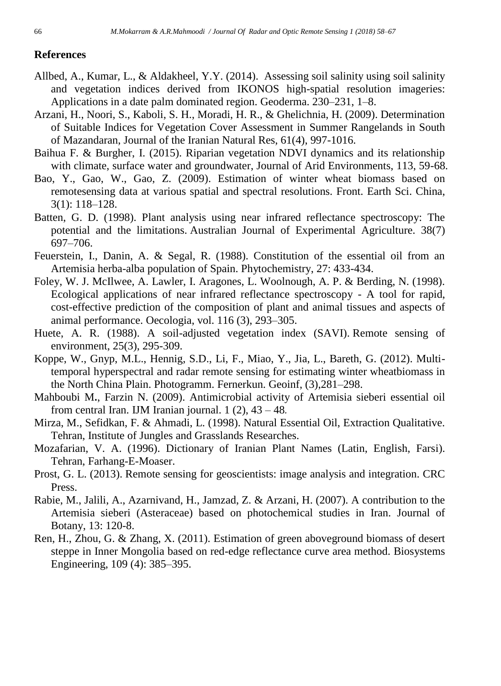## **References**

- [Allbed,](http://www.sciencedirect.com/science/article/pii/S0016706114001372) A., [Kumar,](http://www.sciencedirect.com/science/article/pii/S0016706114001372) L., & [Aldakheel,](http://www.sciencedirect.com/science/article/pii/S0016706114001372) Y.Y. (2014). Assessing soil salinity using soil salinity and vegetation indices derived from IKONOS high-spatial resolution imageries: Applications in a date palm dominated region. [Geoderma.](http://www.sciencedirect.com/science/journal/00167061) [230–231,](http://www.sciencedirect.com/science/journal/00167061/230/supp/C) 1–8.
- Arzani, H., Noori, S., Kaboli, S. H., Moradi, H. R., & Ghelichnia, H. (2009). Determination of Suitable Indices for Vegetation Cover Assessment in Summer Rangelands in South of Mazandaran, Journal of the Iranian Natural Res, 61(4), 997-1016.
- Baihua F. & Burgher, I. (2015). Riparian vegetation NDVI dynamics and its relationship with climate, surface water and groundwater, Journal of Arid Environments, 113, 59-68.
- Bao, Y., Gao, W., Gao, Z. (2009). Estimation of winter wheat biomass based on remotesensing data at various spatial and spectral resolutions. Front. Earth Sci. China, 3(1): 118–128.
- Batten, G. D. (1998). Plant analysis using near infrared reflectance spectroscopy: The potential and the limitations. Australian Journal of Experimental Agriculture. 38(7) 697–706.
- Feuerstein, I., Danin, A. & Segal, R. (1988). Constitution of the essential oil from an Artemisia herba-alba population of Spain. Phytochemistry, 27: 433-434.
- Foley, W. J. McIlwee, A. Lawler, I. Aragones, L. Woolnough, A. P. & Berding, N. (1998). Ecological applications of near infrared reflectance spectroscopy - A tool for rapid, cost-effective prediction of the composition of plant and animal tissues and aspects of animal performance. Oecologia, vol. 116 (3), 293–305.
- Huete, A. R. (1988). A soil-adjusted vegetation index (SAVI). Remote sensing of environment, 25(3), 295-309.
- Koppe, W., Gnyp, M.L., Hennig, S.D., Li, F., Miao, Y., Jia, L., Bareth, G. (2012). Multitemporal hyperspectral and radar remote sensing for estimating winter wheatbiomass in the North China Plain. Photogramm. Fernerkun. Geoinf, (3),281–298.
- Mahboubi M**.**, Farzin N. (2009). Antimicrobial activity of Artemisia sieberi essential oil from central Iran. IJM Iranian journal. 1 (2), 43 – 48*.*
- Mirza, M., Sefidkan, F. & Ahmadi, L. (1998). Natural Essential Oil, Extraction Qualitative. Tehran, Institute of Jungles and Grasslands Researches.
- Mozafarian, V. A. (1996). Dictionary of Iranian Plant Names (Latin, English, Farsi). Tehran, Farhang-E-Moaser.
- Prost, G. L. (2013). Remote sensing for geoscientists: image analysis and integration. CRC Press.
- Rabie, M., Jalili, A., Azarnivand, H., Jamzad, Z. & Arzani, H. (2007). A contribution to the Artemisia sieberi (Asteraceae) based on photochemical studies in Iran. Journal of Botany, 13: 120-8.
- Ren, H., Zhou, G. & Zhang, X. (2011). Estimation of green aboveground biomass of desert steppe in Inner Mongolia based on red-edge reflectance curve area method. Biosystems Engineering, 109 (4): 385–395.